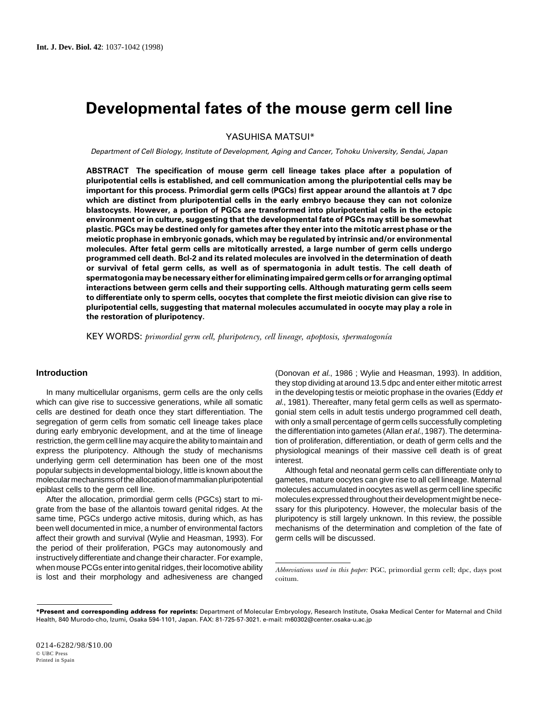# **Developmental fates of the mouse germ cell line**

YASUHISA MATSUI\*

Department of Cell Biology, Institute of Development, Aging and Cancer, Tohoku University, Sendai, Japan

**ABSTRACT The specification of mouse germ cell lineage takes place after a population of pluripotential cells is established, and cell communication among the pluripotential cells may be important for this process. Primordial germ cells (PGCs) first appear around the allantois at 7 dpc which are distinct from pluripotential cells in the early embryo because they can not colonize blastocysts. However, a portion of PGCs are transformed into pluripotential cells in the ectopic environment or in culture, suggesting that the developmental fate of PGCs may still be somewhat plastic. PGCs may be destined only for gametes after they enter into the mitotic arrest phase or the meiotic prophase in embryonic gonads, which may be regulated by intrinsic and/or environmental molecules. After fetal germ cells are mitotically arrested, a large number of germ cells undergo programmed cell death. Bcl-2 and its related molecules are involved in the determination of death or survival of fetal germ cells, as well as of spermatogonia in adult testis. The cell death of spermatogonia may be necessary either for eliminating impaired germ cells or for arranging optimal interactions between germ cells and their supporting cells. Although maturating germ cells seem to differentiate only to sperm cells, oocytes that complete the first meiotic division can give rise to pluripotential cells, suggesting that maternal molecules accumulated in oocyte may play a role in the restoration of pluripotency.**

KEY WORDS: *primordial germ cell, pluripotency, cell lineage, apoptosis, spermatogonía*

## **Introduction**

In many multicellular organisms, germ cells are the only cells which can give rise to successive generations, while all somatic cells are destined for death once they start differentiation. The segregation of germ cells from somatic cell lineage takes place during early embryonic development, and at the time of lineage restriction, the germ cell line may acquire the ability to maintain and express the pluripotency. Although the study of mechanisms underlying germ cell determination has been one of the most popular subjects in developmental biology, little is known about the molecular mechanisms of the allocation of mammalian pluripotential epiblast cells to the germ cell line.

After the allocation, primordial germ cells (PGCs) start to migrate from the base of the allantois toward genital ridges. At the same time, PGCs undergo active mitosis, during which, as has been well documented in mice, a number of environmental factors affect their growth and survival (Wylie and Heasman, 1993). For the period of their proliferation, PGCs may autonomously and instructively differentiate and change their character. For example, when mouse PCGs enter into genital ridges, their locomotive ability when mouse PCGs enter into genital ridges, their locomotive ability *Abbreviations used in this paper*: PGC, primordial germ cell; dpc, days post is lost and their morphology and adhesiveness are changed <sub>coltum</sub>.

(Donovan et al., 1986 ; Wylie and Heasman, 1993). In addition, they stop dividing at around 13.5 dpc and enter either mitotic arrest in the developing testis or meiotic prophase in the ovaries (Eddy et al., 1981). Thereafter, many fetal germ cells as well as spermatogonial stem cells in adult testis undergo programmed cell death, with only a small percentage of germ cells successfully completing the differentiation into gametes (Allan et al., 1987). The determination of proliferation, differentiation, or death of germ cells and the physiological meanings of their massive cell death is of great interest.

Although fetal and neonatal germ cells can differentiate only to gametes, mature oocytes can give rise to all cell lineage. Maternal molecules accumulated in oocytes as well as germ cell line specific molecules expressed throughout their development might be necessary for this pluripotency. However, the molecular basis of the pluripotency is still largely unknown. In this review, the possible mechanisms of the determination and completion of the fate of germ cells will be discussed.

coitum.

**<sup>\*</sup>Present and corresponding address for reprints:** Department of Molecular Embryology, Research Institute, Osaka Medical Center for Maternal and Child Health, 840 Murodo-cho, Izumi, Osaka 594-1101, Japan. FAX: 81-725-57-3021. e-mail: m60302@center.osaka-u.ac.jp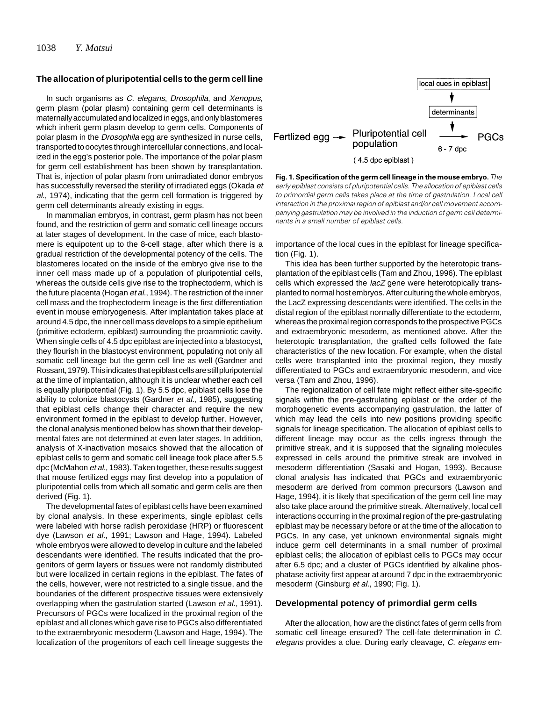#### **The allocation of pluripotential cells to the germ cell line**

In such organisms as C. elegans, Drosophila, and Xenopus, germ plasm (polar plasm) containing germ cell determinants is maternally accumulated and localized in eggs, and only blastomeres which inherit germ plasm develop to germ cells. Components of polar plasm in the Drosophila egg are synthesized in nurse cells, transported to oocytes through intercellular connections, and localized in the egg's posterior pole. The importance of the polar plasm for germ cell establishment has been shown by transplantation. That is, injection of polar plasm from unirradiated donor embryos has successfully reversed the sterility of irradiated eggs (Okada et al., 1974), indicating that the germ cell formation is triggered by germ cell determinants already existing in eggs.

In mammalian embryos, in contrast, germ plasm has not been found, and the restriction of germ and somatic cell lineage occurs at later stages of development. In the case of mice, each blastomere is equipotent up to the 8-cell stage, after which there is a gradual restriction of the developmental potency of the cells. The blastomeres located on the inside of the embryo give rise to the inner cell mass made up of a population of pluripotential cells, whereas the outside cells give rise to the trophectoderm, which is the future placenta (Hogan et al., 1994). The restriction of the inner cell mass and the trophectoderm lineage is the first differentiation event in mouse embryogenesis. After implantation takes place at around 4.5 dpc, the inner cell mass develops to a simple epithelium (primitive ectoderm, epiblast) surrounding the proamniotic cavity. When single cells of 4.5 dpc epiblast are injected into a blastocyst, they flourish in the blastocyst environment, populating not only all somatic cell lineage but the germ cell line as well (Gardner and Rossant, 1979). This indicates that epiblast cells are still pluripotential at the time of implantation, although it is unclear whether each cell is equally pluripotential (Fig. 1). By 5.5 dpc, epiblast cells lose the ability to colonize blastocysts (Gardner et al., 1985), suggesting that epiblast cells change their character and require the new environment formed in the epiblast to develop further. However, the clonal analysis mentioned below has shown that their developmental fates are not determined at even later stages. In addition, analysis of X-inactivation mosaics showed that the allocation of epiblast cells to germ and somatic cell lineage took place after 5.5 dpc (McMahon et al., 1983). Taken together, these results suggest that mouse fertilized eggs may first develop into a population of pluripotential cells from which all somatic and germ cells are then derived (Fig. 1).

The developmental fates of epiblast cells have been examined by clonal analysis. In these experiments, single epiblast cells were labeled with horse radish peroxidase (HRP) or fluorescent dye (Lawson et al., 1991; Lawson and Hage, 1994). Labeled whole embryos were allowed to develop in culture and the labeled descendants were identified. The results indicated that the progenitors of germ layers or tissues were not randomly distributed but were localized in certain regions in the epiblast. The fates of the cells, however, were not restricted to a single tissue, and the boundaries of the different prospective tissues were extensively overlapping when the gastrulation started (Lawson et al., 1991). Precursors of PGCs were localized in the proximal region of the epiblast and all clones which gave rise to PGCs also differentiated to the extraembryonic mesoderm (Lawson and Hage, 1994). The localization of the progenitors of each cell lineage suggests the



**Fig. 1. Specification of the germ cell lineage in the mouse embryo.** *The early epiblast consists of pluripotential cells. The allocation of epiblast cells to primordial germ cells takes place at the time of gastrulation. Local cell interaction in the proximal region of epiblast and/or cell movement accompanying gastrulation may be involved in the induction of germ cell determinants in a small number of epiblast cells.*

importance of the local cues in the epiblast for lineage specification (Fig. 1).

This idea has been further supported by the heterotopic transplantation of the epiblast cells (Tam and Zhou, 1996). The epiblast cells which expressed the lacZ gene were heterotopically transplanted to normal host embryos. After culturing the whole embryos, the LacZ expressing descendants were identified. The cells in the distal region of the epiblast normally differentiate to the ectoderm, whereas the proximal region corresponds to the prospective PGCs and extraembryonic mesoderm, as mentioned above. After the heterotopic transplantation, the grafted cells followed the fate characteristics of the new location. For example, when the distal cells were transplanted into the proximal region, they mostly differentiated to PGCs and extraembryonic mesoderm, and vice versa (Tam and Zhou, 1996).

The regionalization of cell fate might reflect either site-specific signals within the pre-gastrulating epiblast or the order of the morphogenetic events accompanying gastrulation, the latter of which may lead the cells into new positions providing specific signals for lineage specification. The allocation of epiblast cells to different lineage may occur as the cells ingress through the primitive streak, and it is supposed that the signaling molecules expressed in cells around the primitive streak are involved in mesoderm differentiation (Sasaki and Hogan, 1993). Because clonal analysis has indicated that PGCs and extraembryonic mesoderm are derived from common precursors (Lawson and Hage, 1994), it is likely that specification of the germ cell line may also take place around the primitive streak. Alternatively, local cell interactions occurring in the proximal region of the pre-gastrulating epiblast may be necessary before or at the time of the allocation to PGCs. In any case, yet unknown environmental signals might induce germ cell determinants in a small number of proximal epiblast cells; the allocation of epiblast cells to PGCs may occur after 6.5 dpc; and a cluster of PGCs identified by alkaline phosphatase activity first appear at around 7 dpc in the extraembryonic mesoderm (Ginsburg *et al.*, 1990; Fig. 1).

#### **Developmental potency of primordial germ cells**

After the allocation, how are the distinct fates of germ cells from somatic cell lineage ensured? The cell-fate determination in C. elegans provides a clue. During early cleavage, C. elegans em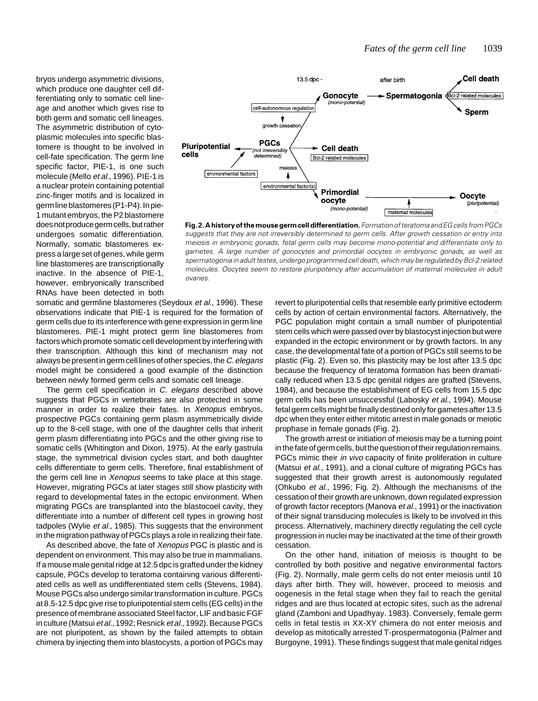bryos undergo asymmetric divisions, which produce one daughter cell differentiating only to somatic cell lineage and another which gives rise to both germ and somatic cell lineages. The asymmetric distribution of cytoplasmic molecules into specific blastomere is thought to be involved in cell-fate specification. The germ line specific factor, PIE-1, is one such molecule (Mello et al., 1996). PIE-1 is a nuclear protein containing potential zinc-finger motifs and is localized in germ line blastomeres (P1-P4). In pie-1 mutant embryos, the P2 blastomere does not produce germ cells, but rather undergoes somatic differentiation. Normally, somatic blastomeres express a large set of genes, while germ line blastomeres are transcriptionally inactive. In the absence of PIE-1, however, embryonically transcribed RNAs have been detected in both



**Fig. 2. A history of the mouse germ cell differentiation.** *Formation of teratoma and EG cells from PGCs suggests that they are not irreversibly determined to germ cells. After growth cessation or entry into meiosis in embryonic gonads, fetal germ cells may become mono-potential and differentiate only to gametes. A large number of gonocytes and primordial oocytes in embryonic gonads, as well as spermatogonia in adult testes, undergo programmed cell death, which may be regulated by Bcl-2 related molecules. Oocytes seem to restore pluripotency after accumulation of maternal molecules in adult ovaries.*

somatic and germline blastomeres (Seydoux et al., 1996). These observations indicate that PIE-1 is required for the formation of germ cells due to its interference with gene expression in germ line blastomeres. PIE-1 might protect germ line blastomeres from factors which promote somatic cell development by interfering with their transcription. Although this kind of mechanism may not always be present in germ cell lines of other species, the C. elegans model might be considered a good example of the distinction between newly formed germ cells and somatic cell lineage.

The germ cell specification in C. elegans described above suggests that PGCs in vertebrates are also protected in some manner in order to realize their fates. In Xenopus embryos, prospective PGCs containing germ plasm asymmetrically divide up to the 8-cell stage, with one of the daughter cells that inherit germ plasm differentiating into PGCs and the other giving rise to somatic cells (Whitington and Dixon, 1975). At the early gastrula stage, the symmetrical division cycles start, and both daughter cells differentiate to germ cells. Therefore, final establishment of the germ cell line in Xenopus seems to take place at this stage. However, migrating PGCs at later stages still show plasticity with regard to developmental fates in the ectopic environment. When migrating PGCs are transplanted into the blastocoel cavity, they differentiate into a number of different cell types in growing host tadpoles (Wylie et al., 1985). This suggests that the environment in the migration pathway of PGCs plays a role in realizing their fate.

As described above, the fate of Xenopus PGC is plastic and is dependent on environment. This may also be true in mammalians. If a mouse male genital ridge at 12.5 dpc is grafted under the kidney capsule, PGCs develop to teratoma containing various differentiated cells as well as undifferentiated stem cells (Stevens, 1984). Mouse PGCs also undergo similar transformation in culture. PGCs at 8.5-12.5 dpc give rise to pluripotential stem cells (EG cells) in the presence of membrane associated Steel factor, LIF and basic FGF in culture (Matsui et al., 1992; Resnick et al., 1992). Because PGCs are not pluripotent, as shown by the failed attempts to obtain chimera by injecting them into blastocysts, a portion of PGCs may

revert to pluripotential cells that resemble early primitive ectoderm cells by action of certain environmental factors. Alternatively, the PGC population might contain a small number of pluripotential stem cells which were passed over by blastocyst injection but were expanded in the ectopic environment or by growth factors. In any case, the developmental fate of a portion of PGCs still seems to be plastic (Fig. 2). Even so, this plasticity may be lost after 13.5 dpc because the frequency of teratoma formation has been dramatically reduced when 13.5 dpc genital ridges are grafted (Stevens, 1984), and because the establishment of EG cells from 15.5 dpc germ cells has been unsuccessful (Labosky et al., 1994). Mouse fetal germ cells might be finally destined only for gametes after 13.5 dpc when they enter either mitotic arrest in male gonads or meiotic prophase in female gonads (Fig. 2).

The growth arrest or initiation of meiosis may be a turning point in the fate of germ cells, but the question of their regulation remains. PGCs mimic their in vivo capacity of finite proliferation in culture (Matsui et al., 1991), and a clonal culture of migrating PGCs has suggested that their growth arrest is autonomously regulated (Ohkubo et al., 1996; Fig. 2). Although the mechanisms of the cessation of their growth are unknown, down regulated expression of growth factor receptors (Manova et al., 1991) or the inactivation of their signal transducing molecules is likely to be involved in this process. Alternatively, machinery directly regulating the cell cycle progression in nuclei may be inactivated at the time of their growth cessation.

On the other hand, initiation of meiosis is thought to be controlled by both positive and negative environmental factors (Fig. 2). Normally, male germ cells do not enter meiosis until 10 days after birth. They will, however, proceed to meiosis and oogenesis in the fetal stage when they fail to reach the genital ridges and are thus located at ectopic sites, such as the adrenal gland (Zamboni and Upadhyay. 1983). Conversely, female germ cells in fetal testis in XX-XY chimera do not enter meiosis and develop as mitotically arrested T-prospermatogonia (Palmer and Burgoyne, 1991). These findings suggest that male genital ridges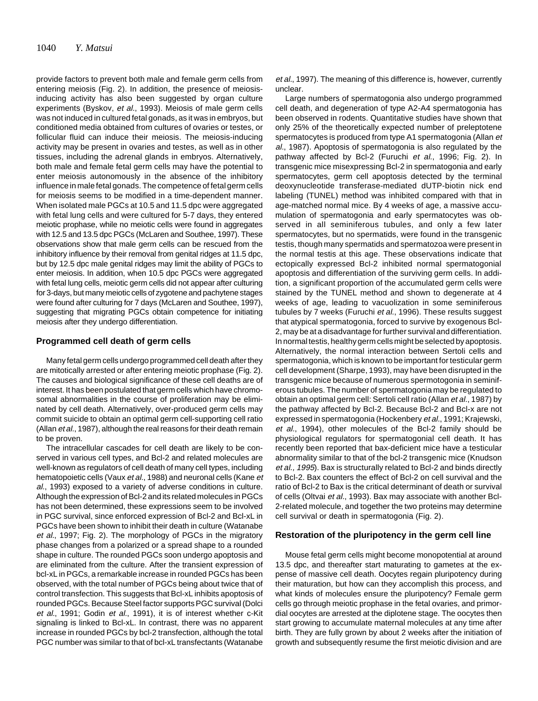provide factors to prevent both male and female germ cells from entering meiosis (Fig. 2). In addition, the presence of meiosisinducing activity has also been suggested by organ culture experiments (Byskov, et al., 1993). Meiosis of male germ cells was not induced in cultured fetal gonads, as it was in embryos, but conditioned media obtained from cultures of ovaries or testes, or follicular fluid can induce their meiosis. The meiosis-inducing activity may be present in ovaries and testes, as well as in other tissues, including the adrenal glands in embryos. Alternatively, both male and female fetal germ cells may have the potential to enter meiosis autonomously in the absence of the inhibitory influence in male fetal gonads. The competence of fetal germ cells for meiosis seems to be modified in a time-dependent manner. When isolated male PGCs at 10.5 and 11.5 dpc were aggregated with fetal lung cells and were cultured for 5-7 days, they entered meiotic prophase, while no meiotic cells were found in aggregates with 12.5 and 13.5 dpc PGCs (McLaren and Southee, 1997). These observations show that male germ cells can be rescued from the inhibitory influence by their removal from genital ridges at 11.5 dpc, but by 12.5 dpc male genital ridges may limit the ability of PGCs to enter meiosis. In addition, when 10.5 dpc PGCs were aggregated with fetal lung cells, meiotic germ cells did not appear after culturing for 3-days, but many meiotic cells of zygotene and pachytene stages were found after culturing for 7 days (McLaren and Southee, 1997), suggesting that migrating PGCs obtain competence for initiating meiosis after they undergo differentiation.

#### **Programmed cell death of germ cells**

Many fetal germ cells undergo programmed cell death after they are mitotically arrested or after entering meiotic prophase (Fig. 2). The causes and biological significance of these cell deaths are of interest. It has been postulated that germ cells which have chromosomal abnormalities in the course of proliferation may be eliminated by cell death. Alternatively, over-produced germ cells may commit suicide to obtain an optimal germ cell-supporting cell ratio (Allan et al., 1987), although the real reasons for their death remain to be proven.

The intracellular cascades for cell death are likely to be conserved in various cell types, and Bcl-2 and related molecules are well-known as regulators of cell death of many cell types, including hematopoietic cells (Vaux et al., 1988) and neuronal cells (Kane et al., 1993) exposed to a variety of adverse conditions in culture. Although the expression of Bcl-2 and its related molecules in PGCs has not been determined, these expressions seem to be involved in PGC survival, since enforced expression of Bcl-2 and Bcl-xL in PGCs have been shown to inhibit their death in culture (Watanabe et al., 1997; Fig. 2). The morphology of PGCs in the migratory phase changes from a polarized or a spread shape to a rounded shape in culture. The rounded PGCs soon undergo apoptosis and are eliminated from the culture. After the transient expression of bcl-xL in PGCs, a remarkable increase in rounded PGCs has been observed, with the total number of PGCs being about twice that of control transfection. This suggests that Bcl-xL inhibits apoptosis of rounded PGCs. Because Steel factor supports PGC survival (Dolci et al., 1991; Godin et al., 1991), it is of interest whether c-Kit signaling is linked to Bcl-xL. In contrast, there was no apparent increase in rounded PGCs by bcl-2 transfection, although the total PGC number was similar to that of bcl-xL transfectants (Watanabe

et al., 1997). The meaning of this difference is, however, currently unclear.

Large numbers of spermatogonia also undergo programmed cell death, and degeneration of type A2-A4 spermatogonia has been observed in rodents. Quantitative studies have shown that only 25% of the theoretically expected number of preleptotene spermatocytes is produced from type A1 spermatogonia (Allan et al., 1987). Apoptosis of spermatogonia is also regulated by the pathway affected by Bcl-2 (Furuchi et al., 1996; Fig. 2). In transgenic mice misexpressing Bcl-2 in spermatogonia and early spermatocytes, germ cell apoptosis detected by the terminal deoxynucleotide transferase-mediated dUTP-biotin nick end labeling (TUNEL) method was inhibited compared with that in age-matched normal mice. By 4 weeks of age, a massive accumulation of spermatogonia and early spermatocytes was observed in all seminiferous tubules, and only a few later spermatocytes, but no spermatids, were found in the transgenic testis, though many spermatids and spermatozoa were present in the normal testis at this age. These observations indicate that ectopically expressed Bcl-2 inhibited normal spermatogonial apoptosis and differentiation of the surviving germ cells. In addition, a significant proportion of the accumulated germ cells were stained by the TUNEL method and shown to degenerate at 4 weeks of age, leading to vacuolization in some seminiferous tubules by 7 weeks (Furuchi et al., 1996). These results suggest that atypical spermatogonia, forced to survive by exogenous Bcl-2, may be at a disadvantage for further survival and differentiation. In normal testis, healthy germ cells might be selected by apoptosis. Alternatively, the normal interaction between Sertoli cells and spermatogonia, which is known to be important for testicular germ cell development (Sharpe, 1993), may have been disrupted in the transgenic mice because of numerous spermotogonia in seminiferous tubules. The number of spermatogonia may be regulated to obtain an optimal germ cell: Sertoli cell ratio (Allan et al., 1987) by the pathway affected by Bcl-2. Because Bcl-2 and Bcl-x are not expressed in spermatogonia (Hockenbery et al., 1991; Krajewski, et al., 1994), other molecules of the Bcl-2 family should be physiological regulators for spermatogonial cell death. It has recently been reported that bax-deficient mice have a testicular abnormality similar to that of the bcl-2 transgenic mice (Knudson et al., 1995). Bax is structurally related to Bcl-2 and binds directly to Bcl-2. Bax counters the effect of Bcl-2 on cell survival and the ratio of Bcl-2 to Bax is the critical determinant of death or survival of cells (Oltvai et al., 1993). Bax may associate with another Bcl-2-related molecule, and together the two proteins may determine cell survival or death in spermatogonia (Fig. 2).

## **Restoration of the pluripotency in the germ cell line**

Mouse fetal germ cells might become monopotential at around 13.5 dpc, and thereafter start maturating to gametes at the expense of massive cell death. Oocytes regain pluripotency during their maturation, but how can they accomplish this process, and what kinds of molecules ensure the pluripotency? Female germ cells go through meiotic prophase in the fetal ovaries, and primordial oocytes are arrested at the diplotene stage. The oocytes then start growing to accumulate maternal molecules at any time after birth. They are fully grown by about 2 weeks after the initiation of growth and subsequently resume the first meiotic division and are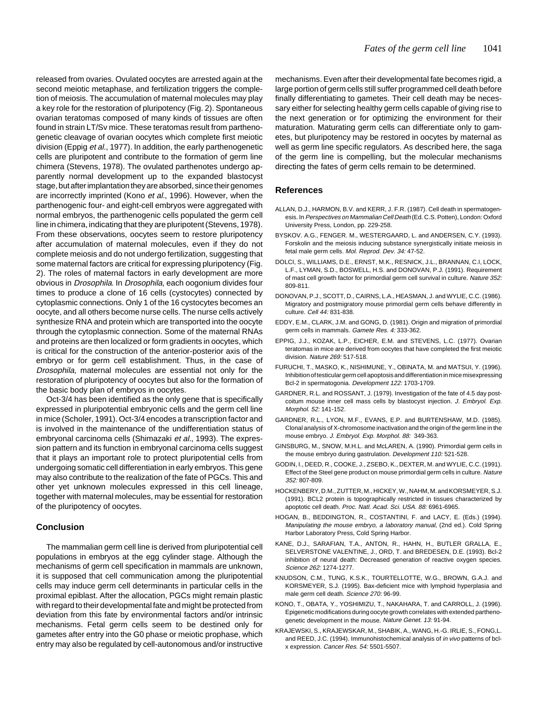released from ovaries. Ovulated oocytes are arrested again at the second meiotic metaphase, and fertilization triggers the completion of meiosis. The accumulation of maternal molecules may play a key role for the restoration of pluripotency (Fig. 2). Spontaneous ovarian teratomas composed of many kinds of tissues are often found in strain LT/Sv mice. These teratomas result from parthenogenetic cleavage of ovarian oocytes which complete first meiotic division (Eppig et al., 1977). In addition, the early parthenogenetic cells are pluripotent and contribute to the formation of germ line chimera (Stevens, 1978). The ovulated parthenotes undergo apparently normal development up to the expanded blastocyst stage, but after implantation they are absorbed, since their genomes are incorrectly imprinted (Kono et al., 1996). However, when the parthenogenic four- and eight-cell embryos were aggregated with normal embryos, the parthenogenic cells populated the germ cell line in chimera, indicating that they are pluripotent (Stevens, 1978). From these observations, oocytes seem to restore pluripotency after accumulation of maternal molecules, even if they do not complete meiosis and do not undergo fertilization, suggesting that some maternal factors are critical for expressing pluripotency (Fig. 2). The roles of maternal factors in early development are more obvious in Drosophila. In Drosophila, each oogonium divides four times to produce a clone of 16 cells (cystocytes) connected by cytoplasmic connections. Only 1 of the 16 cystocytes becomes an oocyte, and all others become nurse cells. The nurse cells actively synthesize RNA and protein which are transported into the oocyte through the cytoplasmic connection. Some of the maternal RNAs and proteins are then localized or form gradients in oocytes, which is critical for the construction of the anterior-posterior axis of the embryo or for germ cell establishment. Thus, in the case of Drosophila, maternal molecules are essential not only for the restoration of pluripotency of oocytes but also for the formation of the basic body plan of embryos in oocytes.

Oct-3/4 has been identified as the only gene that is specifically expressed in pluripotential embryonic cells and the germ cell line in mice (Scholer, 1991). Oct-3/4 encodes a transcription factor and is involved in the maintenance of the undifferentiation status of embryonal carcinoma cells (Shimazaki et al., 1993). The expression pattern and its function in embryonal carcinoma cells suggest that it plays an important role to protect pluripotential cells from undergoing somatic cell differentiation in early embryos. This gene may also contribute to the realization of the fate of PGCs. This and other yet unknown molecules expressed in this cell lineage, together with maternal molecules, may be essential for restoration of the pluripotency of oocytes.

# **Conclusion**

The mammalian germ cell line is derived from pluripotential cell populations in embryos at the egg cylinder stage. Although the mechanisms of germ cell specification in mammals are unknown, it is supposed that cell communication among the pluripotential cells may induce germ cell determinants in particular cells in the proximal epiblast. After the allocation, PGCs might remain plastic with regard to their developmental fate and might be protected from deviation from this fate by environmental factors and/or intrinsic mechanisms. Fetal germ cells seem to be destined only for gametes after entry into the G0 phase or meiotic prophase, which entry may also be regulated by cell-autonomous and/or instructive

mechanisms. Even after their developmental fate becomes rigid, a large portion of germ cells still suffer programmed cell death before finally differentiating to gametes. Their cell death may be necessary either for selecting healthy germ cells capable of giving rise to the next generation or for optimizing the environment for their maturation. Maturating germ cells can differentiate only to gametes, but pluripotency may be restored in oocytes by maternal as well as germ line specific regulators. As described here, the saga of the germ line is compelling, but the molecular mechanisms directing the fates of germ cells remain to be determined.

## **References**

- ALLAN, D.J., HARMON, B.V. and KERR, J. F.R. (1987). Cell death in spermatogenesis. In Perspectives on Mammalian Cell Death (Ed. C.S. Potten), London: Oxford University Press, London, pp. 229-258.
- BYSKOV. A.G., FENGER. M., WESTERGAARD, L. and ANDERSEN, C.Y. (1993). Forskolin and the meiosis inducing substance synergistically initiate meiosis in fetal male germ cells. Mol. Reprod. Dev. 34: 47-52.
- DOLCI, S., WILLIAMS, D.E., ERNST, M.K., RESNICK, J.L., BRANNAN, C.I, LOCK, L.F., LYMAN, S.D., BOSWELL, H.S. and DONOVAN, P.J. (1991). Requirement of mast cell growth factor for primordial germ cell survival in culture. Nature 352: 809-811.
- DONOVAN, P.J., SCOTT, D., CAIRNS, L.A., HEASMAN, J. and WYLIE, C.C. (1986). Migratory and postmigratory mouse primordial germ cells behave differently in culture. Cell 44: 831-838.
- EDDY, E.M., CLARK, J.M. and GONG, D. (1981). Origin and migration of primordial germ cells in mammals. Gamete Res. 4: 333-362.
- EPPIG, J.J., KOZAK, L.P., EICHER, E.M. and STEVENS, L.C. (1977). Ovarian teratomas in mice are derived from oocytes that have completed the first meiotic division. Nature 269: 517-518.
- FURUCHI, T., MASKO, K., NISHIMUNE, Y., OBINATA, M. and MATSUI, Y. (1996). Inhibition of testicular germ cell apoptosis and differentiation in mice misexpressing Bcl-2 in spermatogonia. Development 122: 1703-1709.
- GARDNER, R.L. and ROSSANT, J. (1979). Investigation of the fate of 4.5 day postcoitum mouse inner cell mass cells by blastocyst injection. J. Embryol. Exp. Morphol. 52: 141-152.
- GARDNER, R.L., LYON, M.F., EVANS, E.P. and BURTENSHAW, M.D. (1985). Clonal analysis of X-chromosome inactivation and the origin of the germ line in the mouse embryo. J. Embryol. Exp. Morphol. 88: 349-363.
- GINSBURG, M., SNOW, M.H.L. and McLAREN, A. (1990). Primordial germ cells in the mouse embryo during gastrulation. Development 110: 521-528.
- GODIN, I., DEED, R., COOKE, J., ZSEBO, K., DEXTER, M. and WYLIE, C.C. (1991). Effect of the Steel gene product on mouse primordial germ cells in culture. Nature 352: 807-809.
- HOCKENBERY, D.M., ZUTTER, M., HICKEY, W., NAHM, M. and KORSMEYER, S.J. (1991). BCL2 protein is topographically restricted in tissues characterized by apoptotic cell death. Proc. Natl. Acad. Sci. USA. 88: 6961-6965.
- HOGAN, B., BEDDINGTON, R., COSTANTINI, F. and LACY, E. (Eds.) (1994). Manipulating the mouse embryo, a laboratory manual, (2nd ed.). Cold Spring Harbor Laboratory Press, Cold Spring Harbor.
- KANE, D.J., SARAFIAN, T.A., ANTON, R., HAHN, H., BUTLER GRALLA, E., SELVERSTONE VALENTINE, J., ORD, T. and BREDESEN, D.E. (1993). Bcl-2 inhibition of neural death: Decreased generation of reactive oxygen species. Science 262: 1274-1277.
- KNUDSON, C.M., TUNG, K.S.K., TOURTELLOTTE, W.G., BROWN, G.A.J. and KORSMEYER, S.J. (1995). Bax-deficient mice with lymphoid hyperplasia and male germ cell death. Science 270: 96-99.
- KONO, T., OBATA, Y., YOSHIMIZU, T., NAKAHARA, T. and CARROLL, J. (1996). Epigenetic modifications during oocyte growth correlates with extended parthenogenetic development in the mouse. Nature Genet. 13: 91-94.
- KRAJEWSKI, S., KRAJEWSKAR, M., SHABIK, A., WANG, H.-G. IRLIE, S., FONG,L. and REED, J.C. (1994). Immunohistochemical analysis of in vivo patterns of bclx expression. Cancer Res. 54: 5501-5507.